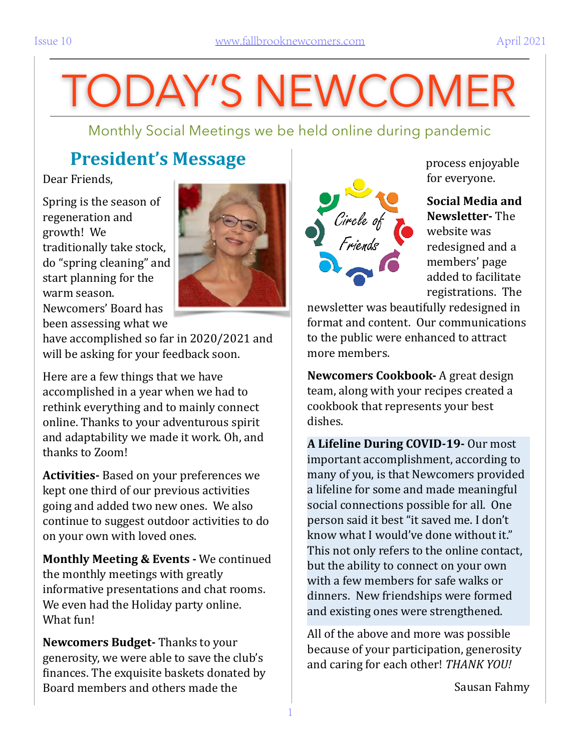# TODAY'S NEWCOMER

Monthly Social Meetings we be held online during pandemic

### **President's Message**

Dear Friends.

Spring is the season of regeneration and growth! We traditionally take stock, do "spring cleaning" and start planning for the warm season.



Newcomers' Board has been assessing what we

have accomplished so far in 2020/2021 and will be asking for your feedback soon.

Here are a few things that we have accomplished in a year when we had to rethink everything and to mainly connect online. Thanks to your adventurous spirit and adaptability we made it work. Oh, and thanks to Zoom!

**Activities-** Based on your preferences we kept one third of our previous activities going and added two new ones. We also continue to suggest outdoor activities to do on your own with loved ones.

**Monthly Meeting & Events - We continued** the monthly meetings with greatly informative presentations and chat rooms. We even had the Holiday party online. What fun!

**Newcomers Budget-** Thanks to your generosity, we were able to save the club's finances. The exquisite baskets donated by Board members and others made the



process enjoyable for everyone.

**Social Media and Newsletter-** The website was redesigned and a members' page added to facilitate registrations. The

newsletter was beautifully redesigned in format and content. Our communications to the public were enhanced to attract more members.

**Newcomers Cookbook-** A great design team, along with your recipes created a cookbook that represents your best dishes. 

**A Lifeline During COVID-19-** Our most important accomplishment, according to many of you, is that Newcomers provided a lifeline for some and made meaningful social connections possible for all. One person said it best "it saved me. I don't know what I would've done without it." This not only refers to the online contact, but the ability to connect on your own with a few members for safe walks or dinners. New friendships were formed and existing ones were strengthened.

All of the above and more was possible because of your participation, generosity and caring for each other! *THANK YOU!* 

Sausan Fahmy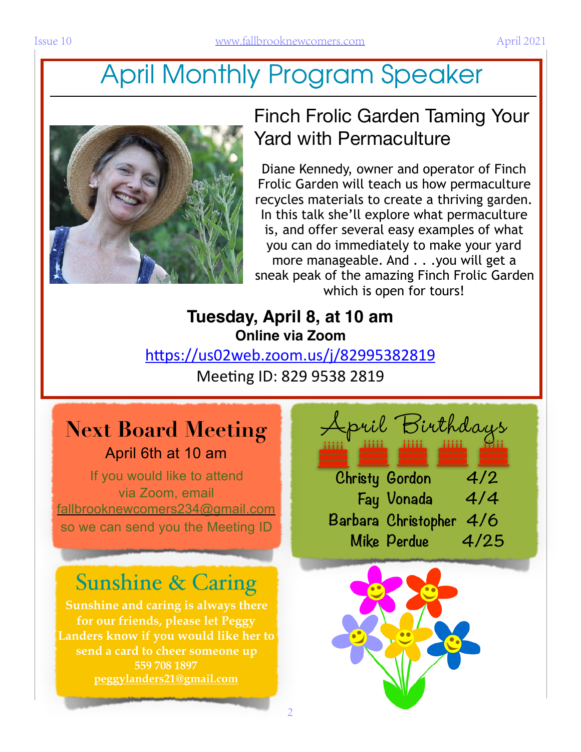# April Monthly Program Speaker



### Finch Frolic Garden Taming Your Yard with Permaculture

Diane Kennedy, owner and operator of Finch Frolic Garden will teach us how permaculture recycles materials to create a thriving garden. In this talk she'll explore what permaculture is, and offer several easy examples of what you can do immediately to make your yard more manageable. And . . .you will get a sneak peak of the amazing Finch Frolic Garden which is open for tours!

### **Tuesday, April 8, at 10 am Online via Zoom**

https://us02web.zoom.us/j/82995382819

Meeting ID: 829 9538 2819

 $\overline{2}$ 

# **Next Board Meeting**  April 6th at 10 am

If you would like to attend via Zoom, email fallbrooknewcomers234@gmail.com so we can send you the Meeting ID

# Sunshine & Caring

**Sunshine and caring is always there for our friends, please let Peggy Landers know if you would like her to send a card to cheer someone up 559 708 1897 peggylanders21@gmail.com**

April Birthdays **Christy Gordon 4/2 Fay Vonada 4/4 Barbara Christopher 4/6 Mike Perdue 4/25**

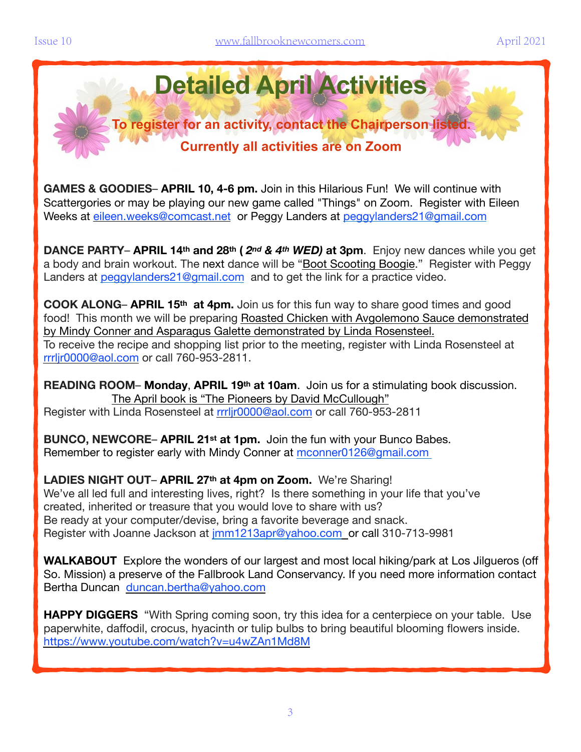

**GAMES & GOODIES**– **APRIL 10, 4-6 pm.** Join in this Hilarious Fun! We will continue with Scattergories or may be playing our new game called "Things" on Zoom. Register with Eileen Weeks at [eileen.weeks@comcast.net](mailto:eileen.weeks@comcast.net) or Peggy Landers at [peggylanders21@gmail.com](mailto:peggylanders21@gmail.com)

**DANCE PARTY**– **APRIL 14th and 28th (** *2nd & 4th WED)* **at 3pm**. Enjoy new dances while you get a body and brain workout. The next dance will be "Boot Scooting Boogie." Register with Peggy Landers at [peggylanders21@gmail.com](mailto:peggylanders21@gmail.com) and to get the link for a practice video.

**COOK ALONG**– **APRIL 15th at 4pm.** Join us for this fun way to share good times and good food! This month we will be preparing Roasted Chicken with Avgolemono Sauce demonstrated by Mindy Conner and Asparagus Galette demonstrated by Linda Rosensteel. To receive the recipe and shopping list prior to the meeting, register with Linda Rosensteel at rrrljr0000@aol.com or call 760-953-2811.

**READING ROOM**– **Monday**, **APRIL 19th at 10am**. Join us for a stimulating book discussion. The April book is "The Pioneers by David McCullough" Register with Linda Rosensteel at rrrljr0000@aol.com or call 760-953-2811

**BUNCO, NEWCORE**– **APRIL 21st at 1pm.** Join the fun with your Bunco Babes. Remember to register early with Mindy Conner at [mconner0126@gmail.com](mailto:mconner0126@gmail.com)

**LADIES NIGHT OUT**– **APRIL 27th at 4pm on Zoom.** We're Sharing! We've all led full and interesting lives, right? Is there something in your life that you've created, inherited or treasure that you would love to share with us? Be ready at your computer/devise, bring a favorite beverage and snack. Register with Joanne Jackson at [jmm1213apr@yahoo.com](mailto:jmm1213apr@yahoo.com) or call 310-713-9981

**WALKABOUT** Explore the wonders of our largest and most local hiking/park at Los Jilgueros (off So. Mission) a preserve of the Fallbrook Land Conservancy. If you need more information contact Bertha Duncan [duncan.bertha@yahoo.com](mailto:duncan.bertha@yahoo.com)

**HAPPY DIGGERS** "With Spring coming soon, try this idea for a centerpiece on your table. Use paperwhite, daffodil, crocus, hyacinth or tulip bulbs to bring beautiful blooming flowers inside. <https://www.youtube.com/watch?v=u4wZAn1Md8M>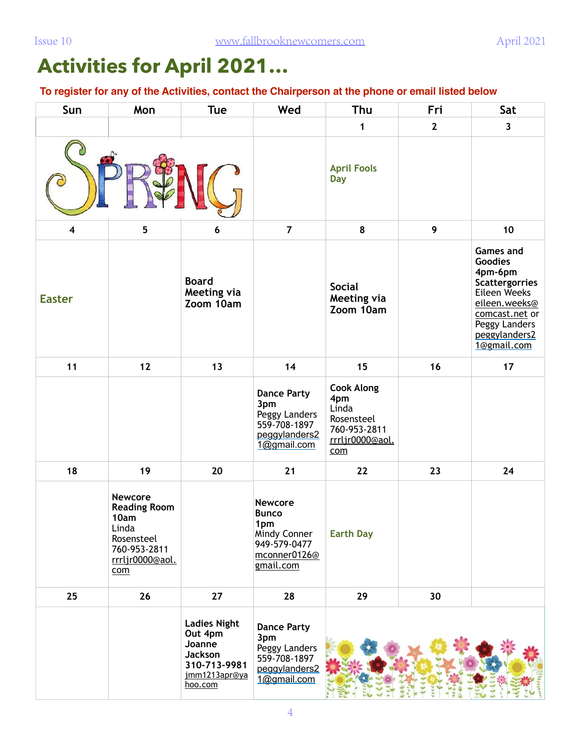# **Activities for April 2021…**

**To register for any of the Activities, contact the Chairperson at the phone or email listed below**

| Sun                     | Mon                                                                                                            | Tue                                                                                             | Wed                                                                                                | Thu                                                                                       | Fri          | Sat                                                                                                                                                                        |
|-------------------------|----------------------------------------------------------------------------------------------------------------|-------------------------------------------------------------------------------------------------|----------------------------------------------------------------------------------------------------|-------------------------------------------------------------------------------------------|--------------|----------------------------------------------------------------------------------------------------------------------------------------------------------------------------|
|                         |                                                                                                                |                                                                                                 |                                                                                                    | 1                                                                                         | $\mathbf{2}$ | $\overline{\mathbf{3}}$                                                                                                                                                    |
|                         |                                                                                                                |                                                                                                 |                                                                                                    | <b>April Fools</b><br><b>Day</b>                                                          |              |                                                                                                                                                                            |
| $\overline{\mathbf{4}}$ | 5                                                                                                              | 6                                                                                               | $\overline{7}$                                                                                     | 8                                                                                         | 9            | 10                                                                                                                                                                         |
| <b>Easter</b>           |                                                                                                                | <b>Board</b><br>Meeting via<br>Zoom 10am                                                        |                                                                                                    | <b>Social</b><br>Meeting via<br>Zoom 10am                                                 |              | <b>Games and</b><br><b>Goodies</b><br>4pm-6pm<br><b>Scattergorries</b><br>Eileen Weeks<br>eileen.weeks@<br>comcast.net or<br>Peggy Landers<br>peggylanders2<br>1@gmail.com |
| 11                      | 12                                                                                                             | 13                                                                                              | 14                                                                                                 | 15                                                                                        | 16           | 17                                                                                                                                                                         |
|                         |                                                                                                                |                                                                                                 | <b>Dance Party</b><br>3pm<br>Peggy Landers<br>559-708-1897<br>peggylanders2<br>1@gmail.com         | <b>Cook Along</b><br>4pm<br>Linda<br>Rosensteel<br>760-953-2811<br>rrrljr0000@aol.<br>com |              |                                                                                                                                                                            |
| 18                      | 19                                                                                                             | 20                                                                                              | 21                                                                                                 | 22                                                                                        | 23           | 24                                                                                                                                                                         |
|                         | <b>Newcore</b><br><b>Reading Room</b><br>10am<br>Linda<br>Rosensteel<br>760-953-2811<br>rrrljr0000@aol.<br>com |                                                                                                 | <b>Newcore</b><br><b>Bunco</b><br>1pm<br>Mindy Conner<br>949-579-0477<br>mconner0126@<br>gmail.com | <b>Earth Day</b>                                                                          |              |                                                                                                                                                                            |
| 25                      | 26                                                                                                             | 27                                                                                              | 28                                                                                                 | 29                                                                                        | 30           |                                                                                                                                                                            |
|                         |                                                                                                                | <b>Ladies Night</b><br>Out 4pm<br>Joanne<br>Jackson<br>310-713-9981<br>jmm1213apr@ya<br>hoo.com | <b>Dance Party</b><br>3pm<br>Peggy Landers<br>559-708-1897<br>peggylanders2<br>1@gmail.com         |                                                                                           |              |                                                                                                                                                                            |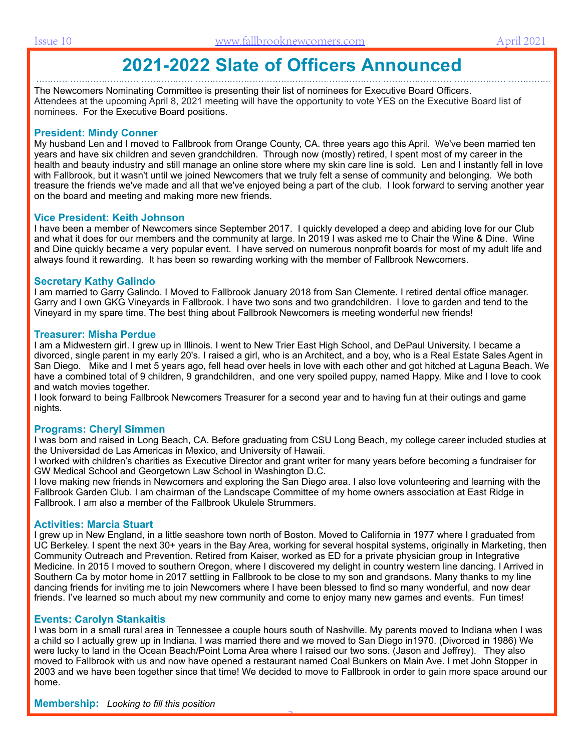### **2021-2022 Slate of Officers Announced**

The Newcomers Nominating Committee is presenting their list of nominees for Executive Board Officers. Attendees at the upcoming April 8, 2021 meeting will have the opportunity to vote YES on the Executive Board list of nominees. For the Executive Board positions.

#### **President: Mindy Conner**

My husband Len and I moved to Fallbrook from Orange County, CA. three years ago this April. We've been married ten years and have six children and seven grandchildren. Through now (mostly) retired, I spent most of my career in the health and beauty industry and still manage an online store where my skin care line is sold. Len and I instantly fell in love with Fallbrook, but it wasn't until we joined Newcomers that we truly felt a sense of community and belonging. We both treasure the friends we've made and all that we've enjoyed being a part of the club. I look forward to serving another year on the board and meeting and making more new friends.

#### **Vice President: Keith Johnson**

I have been a member of Newcomers since September 2017. I quickly developed a deep and abiding love for our Club and what it does for our members and the community at large. In 2019 I was asked me to Chair the Wine & Dine. Wine and Dine quickly became a very popular event. I have served on numerous nonprofit boards for most of my adult life and always found it rewarding. It has been so rewarding working with the member of Fallbrook Newcomers.

#### **Secretary Kathy Galindo**

I am married to Garry Galindo. I Moved to Fallbrook January 2018 from San Clemente. I retired dental office manager. Garry and I own GKG Vineyards in Fallbrook. I have two sons and two grandchildren. I love to garden and tend to the Vineyard in my spare time. The best thing about Fallbrook Newcomers is meeting wonderful new friends!

#### **Treasurer: Misha Perdue**

I am a Midwestern girl. I grew up in Illinois. I went to New Trier East High School, and DePaul University. I became a divorced, single parent in my early 20's. I raised a girl, who is an Architect, and a boy, who is a Real Estate Sales Agent in San Diego. Mike and I met 5 years ago, fell head over heels in love with each other and got hitched at Laguna Beach. We have a combined total of 9 children, 9 grandchildren, and one very spoiled puppy, named Happy. Mike and I love to cook and watch movies together.

I look forward to being Fallbrook Newcomers Treasurer for a second year and to having fun at their outings and game nights.

#### **Programs: Cheryl Simmen**

I was born and raised in Long Beach, CA. Before graduating from CSU Long Beach, my college career included studies at the Universidad de Las Americas in Mexico, and University of Hawaii.

I worked with children's charities as Executive Director and grant writer for many years before becoming a fundraiser for GW Medical School and Georgetown Law School in Washington D.C.

I love making new friends in Newcomers and exploring the San Diego area. I also love volunteering and learning with the Fallbrook Garden Club. I am chairman of the Landscape Committee of my home owners association at East Ridge in Fallbrook. I am also a member of the Fallbrook Ukulele Strummers.

#### **Activities: Marcia Stuart**

I grew up in New England, in a little seashore town north of Boston. Moved to California in 1977 where I graduated from UC Berkeley. I spent the next 30+ years in the Bay Area, working for several hospital systems, originally in Marketing, then Community Outreach and Prevention. Retired from Kaiser, worked as ED for a private physician group in Integrative Medicine. In 2015 I moved to southern Oregon, where I discovered my delight in country western line dancing. I Arrived in Southern Ca by motor home in 2017 settling in Fallbrook to be close to my son and grandsons. Many thanks to my line dancing friends for inviting me to join Newcomers where I have been blessed to find so many wonderful, and now dear friends. I've learned so much about my new community and come to enjoy many new games and events. Fun times!

#### **Events: Carolyn Stankaitis**

I was born in a small rural area in Tennessee a couple hours south of Nashville. My parents moved to Indiana when I was a child so I actually grew up in Indiana. I was married there and we moved to San Diego in1970. (Divorced in 1986) We were lucky to land in the Ocean Beach/Point Loma Area where I raised our two sons. (Jason and Jeffrey). They also moved to Fallbrook with us and now have opened a restaurant named Coal Bunkers on Main Ave. I met John Stopper in 2003 and we have been together since that time! We decided to move to Fallbrook in order to gain more space around our home.

5

**Membership:** *Looking to fill this position*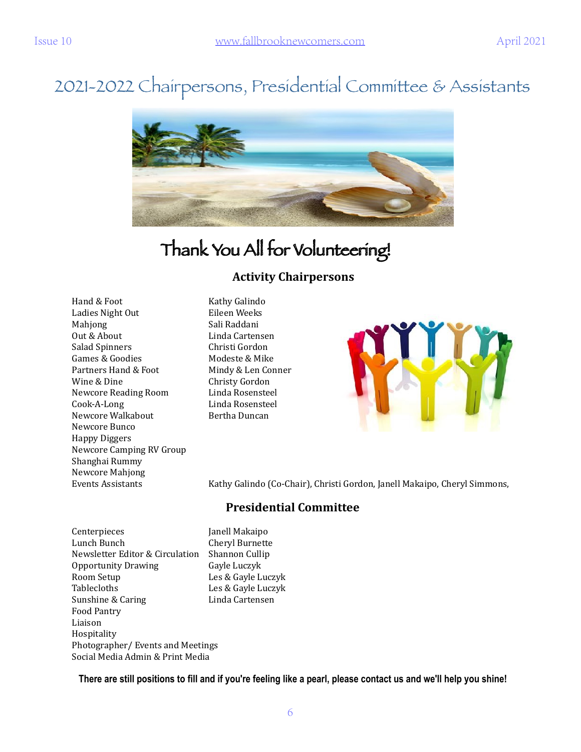## 2021-2022 Chairpersons, Presidential Committee & Assistants



# Thank You All for Volunteering!

#### **Activity Chairpersons**

Hand & Foot Kathy Galindo Ladies Night Out **Eileen** Weeks Mahjong Sali Raddani Out & About **Cartensen** Salad Spinners **Christi Gordon** Games & Goodies **Modeste & Mike** Partners Hand & Foot Mindy & Len Conner Wine & Dine **Christy Gordon** Newcore Reading Room Linda Rosensteel Cook-A-Long Linda Rosensteel Newcore Walkabout **Bertha Duncan** Newcore Bunco Happy Diggers Newcore Camping RV Group Shanghai Rummy Newcore Mahjong 



Events Assistants Kathy Galindo (Co-Chair), Christi Gordon, Janell Makaipo, Cheryl Simmons,

#### **Presidential Committee**

Centerpieces **Ignell Makaipo** Lunch Bunch **Cheryl** Burnette Newsletter Editor & Circulation Shannon Cullip Opportunity Drawing Gayle Luczyk Room Setup **Les & Gayle Luczyk** Tablecloths Les & Gayle Luczyk Sunshine & Caring **Example 2** Linda Cartensen Food Pantry Liaison Hospitality Photographer/ Events and Meetings Social Media Admin & Print Media

**There are still positions to fill and if you're feeling like a pearl, please contact us and we'll help you shine!**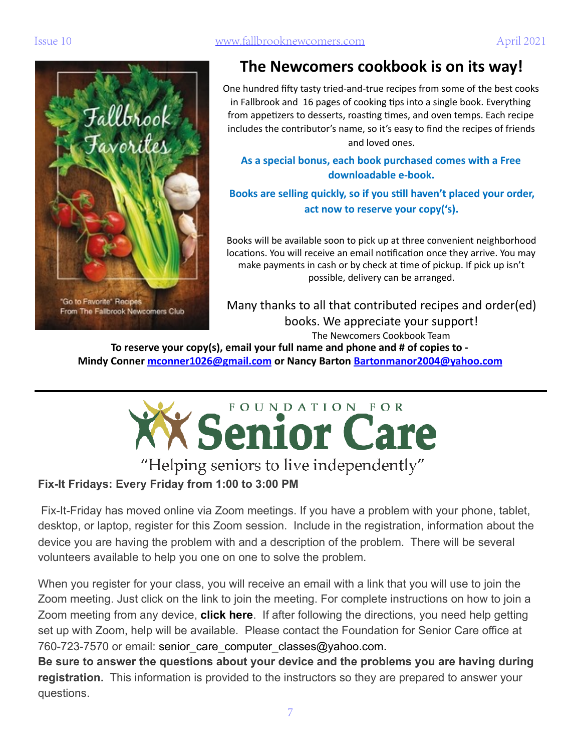

### The Newcomers cookbook is on its way!

One hundred fifty tasty tried-and-true recipes from some of the best cooks in Fallbrook and 16 pages of cooking tips into a single book. Everything from appetizers to desserts, roasting times, and oven temps. Each recipe includes the contributor's name, so it's easy to find the recipes of friends and loved ones.

As a special bonus, each book purchased comes with a Free downloadable e-book.

Books are selling quickly, so if you still haven't placed your order, act now to reserve your copy('s).

Books will be available soon to pick up at three convenient neighborhood locations. You will receive an email notification once they arrive. You may make payments in cash or by check at time of pickup. If pick up isn't possible, delivery can be arranged.

Many thanks to all that contributed recipes and order(ed) books. We appreciate your support! The Newcomers Cookbook Team

To reserve your copy(s), email your full name and phone and # of copies to -**Mindy Conner** mconner1026@gmail.com or Nancy Barton Bartonmanor2004@yahoo.com



### **Fix-It Fridays: Every Friday from 1:00 to 3:00 PM**

 Fix-It-Friday has moved online via Zoom meetings. If you have a problem with your phone, tablet, desktop, or laptop, register for this Zoom session. Include in the registration, information about the device you are having the problem with and a description of the problem. There will be several volunteers available to help you one on one to solve the problem.

When you register for your class, you will receive an email with a link that you will use to join the Zoom meeting. Just click on the link to join the meeting. For complete instructions on how to join a Zoom meeting from any device, **[click here](https://support.zoom.us/hc/en-us/articles/201362193-Joining-a-Meeting)**. If after following the directions, you need help getting set up with Zoom, help will be available. Please contact the Foundation for Senior Care office at 760-723-7570 or email: senior care computer classes@yahoo.com.

**Be sure to answer the questions about your device and the problems you are having during registration.** This information is provided to the instructors so they are prepared to answer your questions.